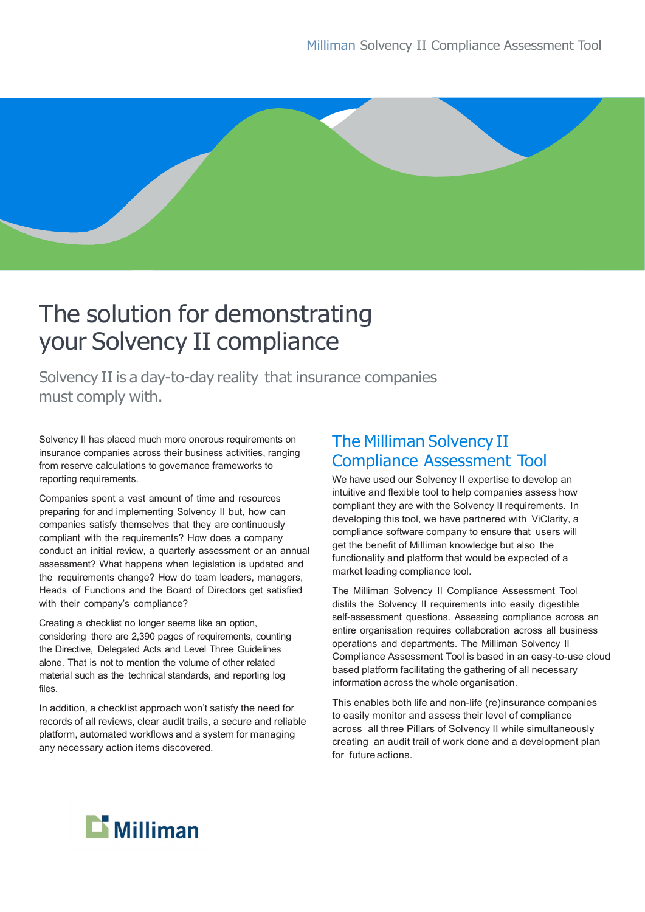# The solution for demonstrating your Solvency II compliance

Solvency II is a day-to-day reality that insurance companies must comply with.

Solvency II has placed much more onerous requirements on insurance companies across their business activities, ranging from reserve calculations to governance frameworks to reporting requirements.

Companies spent a vast amount of time and resources preparing for and implementing Solvency II but, how can companies satisfy themselves that they are continuously compliant with the requirements? How does a company conduct an initial review, a quarterly assessment or an annual assessment? What happens when legislation is updated and the requirements change? How do team leaders, managers, Heads of Functions and the Board of Directors get satisfied with their company's compliance?

Creating a checklist no longer seems like an option, considering there are 2,390 pages of requirements, counting the Directive, Delegated Acts and Level Three Guidelines alone. That is not to mention the volume of other related material such as the technical standards, and reporting log files.

In addition, a checklist approach won't satisfy the need for records of all reviews, clear audit trails, a secure and reliable platform, automated workflows and a system for managing any necessary action items discovered.

### The Milliman Solvency II Compliance Assessment Tool

We have used our Solvency II expertise to develop an intuitive and flexible tool to help companies assess how compliant they are with the Solvency II requirements. In developing this tool, we have partnered with ViClarity, a compliance software company to ensure that users will get the benefit of Milliman knowledge but also the functionality and platform that would be expected of a market leading compliance tool.

The Milliman Solvency II Compliance Assessment Tool distils the Solvency II requirements into easily digestible self-assessment questions. Assessing compliance across an entire organisation requires collaboration across all business operations and departments. The Milliman Solvency II Compliance Assessment Tool is based in an easy-to-use cloud based platform facilitating the gathering of all necessary information across the whole organisation.

This enables both life and non-life (re)insurance companies to easily monitor and assess their level of compliance across all three Pillars of Solvency II while simultaneously creating an audit trail of work done and a development plan for future actions.

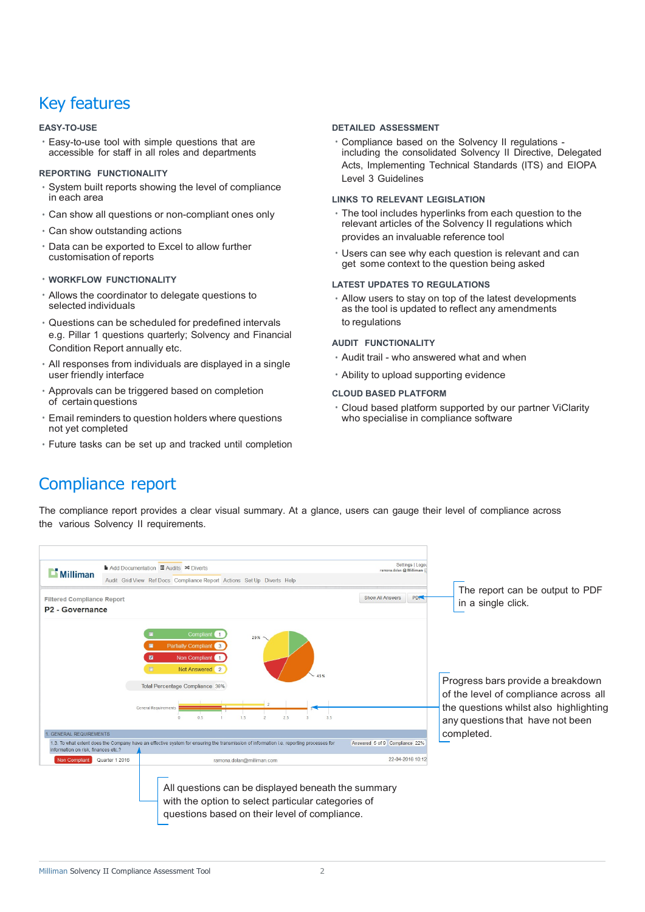### Key features

#### **EASY-TO-USE**

**·** Easy-to-use tool with simple questions that are accessible for staff in all roles and departments

#### **REPORTING FUNCTIONALITY**

- **·** System built reports showing the level of compliance in each area
- **·** Can show all questions or non-compliant ones only
- **·** Can show outstanding actions
- **·** Data can be exported to Excel to allow further customisation of reports

#### **· WORKFLOW FUNCTIONALITY**

- **·** Allows the coordinator to delegate questions to selected individuals
- **·** Questions can be scheduled for predefined intervals e.g. Pillar 1 questions quarterly; Solvency and Financial Condition Report annually etc.
- **·** All responses from individuals are displayed in a single user friendly interface
- **·** Approvals can be triggered based on completion of certainquestions
- **·** Email reminders to question holders where questions not yet completed
- **·** Future tasks can be set up and tracked until completion

#### **DETAILED ASSESSMENT**

**·** Compliance based on the Solvency II regulations including the consolidated Solvency II Directive, Delegated Acts, Implementing Technical Standards (ITS) and EIOPA Level 3 Guidelines

#### **LINKS TO RELEVANT LEGISLATION**

- **·** The tool includes hyperlinks from each question to the relevant articles of the Solvency II regulations which provides an invaluable reference tool
- **·** Users can see why each question is relevant and can get some context to the question being asked

#### **LATEST UPDATES TO REGULATIONS**

**·** Allow users to stay on top of the latest developments as the tool is updated to reflect any amendments to regulations

#### **AUDIT FUNCTIONALITY**

- **·** Audit trail who answered what and when
- **·** Ability to upload supporting evidence

#### **CLOUD BASED PLATFORM**

**·** Cloud based platform supported by our partner ViClarity who specialise in compliance software

### Compliance report

The compliance report provides a clear visual summary. At a glance, users can gauge their level of compliance across the various Solvency II requirements.

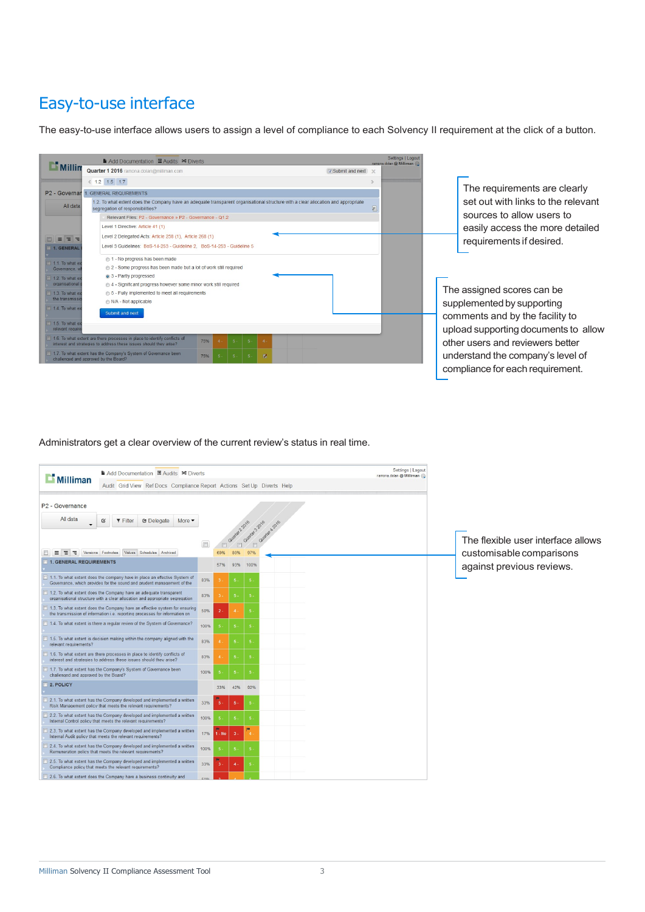## Easy-to-use interface

The easy-to-use interface allows users to assign a level of compliance to each Solvency II requirement at the click of a button.



Administrators get a clear overview of the current review's status in real time.

|                                                                                                                                                           | Settings   Logout<br>■ Add Documentation ■ Audits ※ Diverts<br>ramona.dolan @ Milliman @ |            |                    |                                     |                                                                                             |
|-----------------------------------------------------------------------------------------------------------------------------------------------------------|------------------------------------------------------------------------------------------|------------|--------------------|-------------------------------------|---------------------------------------------------------------------------------------------|
| <b>L'</b> Milliman<br>Audit Grid View Ref Docs Compliance Report Actions Set Up Diverts Help                                                              |                                                                                          |            |                    |                                     |                                                                                             |
| P2 - Governance<br>All data<br><b>C</b> Delegate<br>$\varnothing$<br>$\overline{\mathbf{y}}$ Filter<br>More •                                             |                                                                                          |            | Quarter2-2016      | Zuerter <sup>3</sup> 2016<br>4.2016 |                                                                                             |
| Values Schedules Archived<br>$\equiv$ $\equiv$ $\equiv$ Versions Footnotes<br><b>1. GENERAL REQUIREMENTS</b>                                              |                                                                                          | 60%<br>57% | 80%<br>93%         | 97%<br>100%                         | The flexible user interface allows<br>customisable comparisons<br>against previous reviews. |
| 1.1. To what extent does the company have in place an effective System of<br>Governance, which provides for the sound and prudent management of the       | 83%                                                                                      |            |                    |                                     |                                                                                             |
| 1.2. To what extent does the Company have an adequate transparent<br>organisational structure with a clear allocation and appropriate segregation         | 83%                                                                                      |            | $5 -$              |                                     |                                                                                             |
| 1.3. To what extent does the Company have an effective system for ensuring<br>the transmission of information i.e. reporting processes for information on | 50%                                                                                      | $2 -$      |                    |                                     |                                                                                             |
| 1.4. To what extent is there a regular review of the System of Governance?                                                                                | 100%                                                                                     |            |                    |                                     |                                                                                             |
| 1.5. To what extent is decision making within the company aligned with the<br>relevant requirements?                                                      | 83%                                                                                      |            | 5.                 | -5                                  |                                                                                             |
| 1.6. To what extent are there processes in place to identify conflicts of<br>interest and strategies to address these issues should they arise?           | 83%                                                                                      |            |                    |                                     |                                                                                             |
| 1.7. To what extent has the Company's System of Governance been<br>challenged and approved by the Board?                                                  | 100%                                                                                     |            |                    |                                     |                                                                                             |
| 2. POLICY                                                                                                                                                 |                                                                                          | 33%        | 42%                | 92%                                 |                                                                                             |
| 2.1. To what extent has the Company developed and implemented a written<br>Risk Management policy that meets the relevant requirements?                   | 33%                                                                                      | 5.         | 5.                 |                                     |                                                                                             |
| 2.2. To what extent has the Company developed and implemented a written<br>Internal Control policy that meets the relevant requirements?                  | 100%                                                                                     |            |                    |                                     |                                                                                             |
| 2.3. To what extent has the Company developed and implemented a written<br>Internal Audit policy that meets the relevant requirements?                    | 17%                                                                                      | 1 - No     | <b>IN</b><br>$3 -$ |                                     |                                                                                             |
| 2.4. To what extent has the Company developed and implemented a written<br>Remuneration policy that meets the relevant requirements?                      | 100%                                                                                     |            |                    |                                     |                                                                                             |
| 2.5. To what extent has the Company developed and implemented a written<br>Compliance policy that meets the relevant requirements?                        | 33%                                                                                      | 3          | $4 -$              |                                     |                                                                                             |
| 2.6. To what extent does the Company have a business continuity and                                                                                       |                                                                                          |            |                    |                                     |                                                                                             |